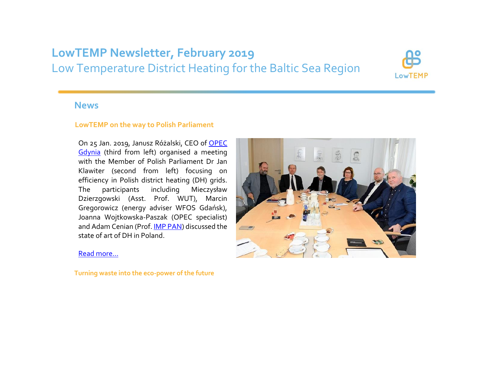# **LowTEMP Newsletter, February 2019** Low Temperature District Heating for the Baltic Sea Region



### **News**

#### **LowTEMP on the way to Polish Parliament**

On 25 Jan. 2019, Janusz Różalski, CEO of [OPEC](http://www.lowtemp.eu/partners/dh-supply-company-gdynia/)  [Gdynia](http://www.lowtemp.eu/partners/dh-supply-company-gdynia/) (third from left) organised a meeting with the Member of Polish Parliament Dr Jan Klawiter (second from left) focusing on efficiency in Polish district heating (DH) grids. The participants including Mieczysław Dzierzgowski (Asst. Prof. WUT), Marcin Gregorowicz (energy adviser WFOS Gdańsk), Joanna Wojtkowska-Paszak (OPEC specialist) and Adam Cenian (Prof. **IMP PAN**) discussed the state of art of DH in Poland.



#### [Read more…](http://www.lowtemp.eu/news/lowtemp-on-the-way-to-polish-parliament/)

**Turning waste into the eco-power of the future**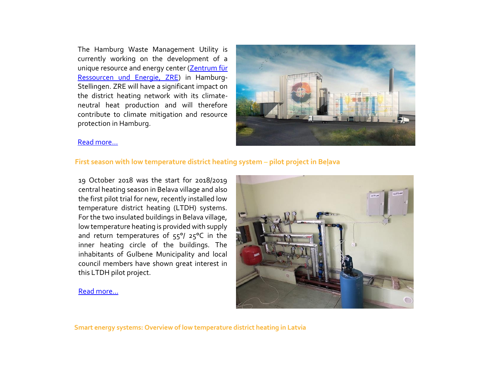The Hamburg Waste Management Utility is currently working on the development of a unique resource and energy center [\(Zentrum für](https://www.hamburg.de/altona/klimaschutz-projekte-altona/10288274/zentrum-fuer-ressourcen-und-energie/)  [Ressourcen und Energie, ZRE\)](https://www.hamburg.de/altona/klimaschutz-projekte-altona/10288274/zentrum-fuer-ressourcen-und-energie/) in Hamburg-Stellingen. ZRE will have a significant impact on the district heating network with its climateneutral heat production and will therefore contribute to climate mitigation and resource protection in Hamburg.



#### [Read more…](http://www.lowtemp.eu/uncategorized/turning-waste-into-the-eco-power-of-the-future/)

#### **First season with low temperature district heating system** – **pilot project in Beļava**

19 October 2018 was the start for 2018/2019 central heating season in Belava village and also the first pilot trial for new, recently installed low temperature district heating (LTDH) systems. For the two insulated buildings in Belava village, low temperature heating is provided with supply and return temperatures of 55°/ 25°C in the inner heating circle of the buildings. The inhabitants of Gulbene Municipality and local council members have shown great interest in this LTDH pilot project.

#### [Read more…](http://www.lowtemp.eu/examples/first-season-with-low-temperature-district-heating-system-pilot-project-in-belava/)

**Smart energy systems: Overview of low temperature district heating in Latvia**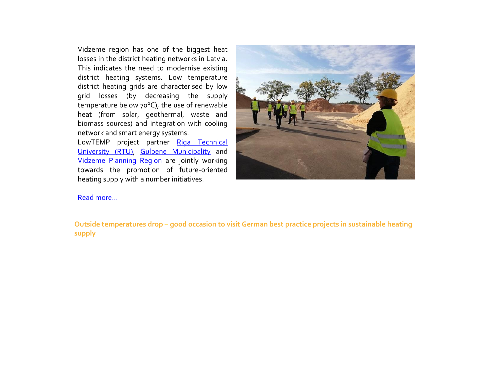Vidzeme region has one of the biggest heat losses in the district heating networks in Latvia. This indicates the need to modernise existing district heating systems. Low temperature district heating grids are characterised by low grid losses (by decreasing the supply temperature below 70°C), the use of renewable heat (from solar, geothermal, waste and biomass sources) and integration with cooling network and smart energy systems.

LowTEMP project partner Riga Technical [University \(RTU\),](http://www.lowtemp.eu/partners/riga-technical-university/) [Gulbene Municipality](http://www.lowtemp.eu/partners/gulbene-municipality/) and [Vidzeme Planning Region](http://www.lowtemp.eu/partners/vidzeme-planning-region/) are jointly working towards the promotion of future-oriented heating supply with a number initiatives.



#### [Read more…](http://www.lowtemp.eu/news/smart-energy-systems-low-temperature-district-heating-in-latvia/)

**Outside temperatures drop** – **good occasion to visit German best practice projects in sustainable heating supply**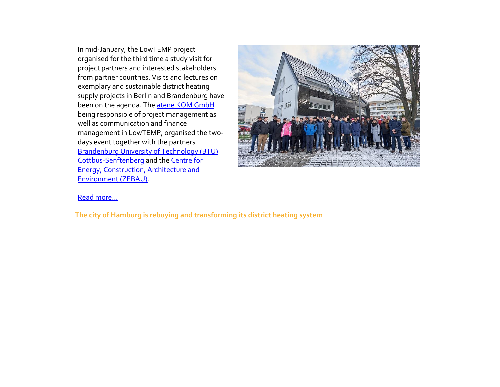In mid-January, the LowTEMP project organised for the third time a study visit for project partners and interested stakeholders from partner countries. Visits and lectures on exemplary and sustainable district heating supply projects in Berlin and Brandenburg have been on the agenda. The [atene KOM GmbH](https://atenekom.eu/project/lowtemp/) being responsible of project management as well as communication and finance management in LowTEMP, organised the twodays event together with the partners [Brandenburg University of Technology \(BTU\)](http://www.lowtemp.eu/partners/brandenburg-university-technology-cottbus-senftenberg/)  [Cottbus-Senftenberg](http://www.lowtemp.eu/partners/brandenburg-university-technology-cottbus-senftenberg/) and th[e Centre for](http://www.lowtemp.eu/partners/centre-energy-construction-architecture-environment/)  Energy, [Construction, Architecture and](http://www.lowtemp.eu/partners/centre-energy-construction-architecture-environment/)  [Environment \(ZEBAU\).](http://www.lowtemp.eu/partners/centre-energy-construction-architecture-environment/)



#### [Read more...](http://www.lowtemp.eu/events/outside-temperatures-drop-good-occasion-to-visit-german-best-practice-projects-in-sustainable-heating-supply/)

**The city of Hamburg is rebuying and transforming its district heating system**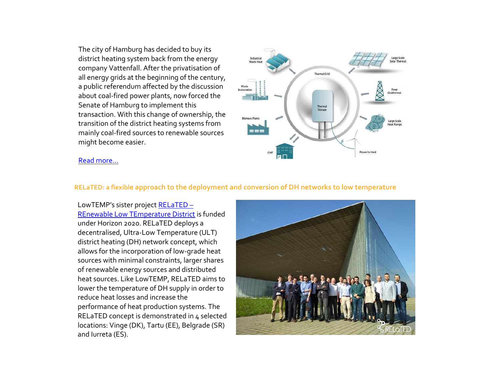The city of Hamburg has decided to buy its district heating system back from the energy company Vattenfall. After the privatisation of all energy grids at the beginning of the century, a public referendum affected by the discussion about coal-fired power plants, now forced the Senate of Hamburg to implement this transaction. With this change of ownership, the transition of the district heating systems from mainly coal-fired sources to renewable sources might become easier.



#### [Read more…](http://www.lowtemp.eu/uncategorized/the-city-of-hamburg-is-rebuying-and-transforming-its-district-heating-system/)

#### **RELaTED: a flexible approach to the deployment and conversion of DH networks to low temperature**

LowTEMP's sister project [RELaTED](http://www.relatedproject.eu/) – [REnewable Low TEmperature District](http://www.relatedproject.eu/) is funded under Horizon 2020. RELaTED deploys a decentralised, Ultra-Low Temperature (ULT) district heating (DH) network concept, which allows for the incorporation of low-grade heat sources with minimal constraints, larger shares of renewable energy sources and distributed heat sources. Like LowTEMP, RELaTED aims to lower the temperature of DH supply in order to reduce heat losses and increase the performance of heat production systems. The RELaTED concept is demonstrated in 4 selected locations: Vinge (DK), Tartu (EE), Belgrade (SR) and Iurreta (ES).

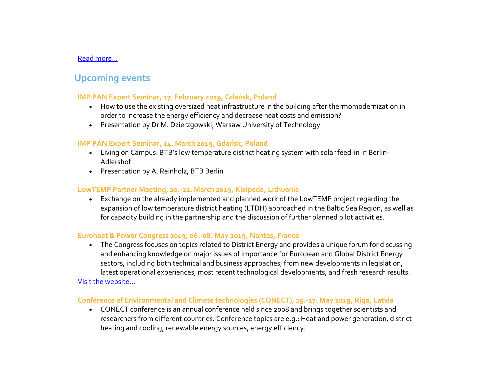#### [Read more...](http://www.lowtemp.eu/news/related-a-flexible-approach-to-the-deployment-and-conversion-of-dh-networks-to-low-temperature/)

## **Upcoming events**

#### **IMP PAN Expert Seminar, 17. February 2019, Gdańsk, Poland**

- How to use the existing oversized heat infrastructure in the building after thermomodernization in order to increase the energy efficiency and decrease heat costs and emission?
- Presentation by Dr M. Dzierzgowski, Warsaw University of Technology

#### **IMP PAN Expert Seminar, 14. March 2019, Gdańsk, Poland**

- Living on Campus: BTB's low temperature district heating system with solar feed-in in Berlin-Adlershof
- Presentation by A. Reinholz, BTB Berlin

#### **LowTEMP Partner Meeting, 20.-22. March 2019, Klaipeda, Lithuania**

 Exchange on the already implemented and planned work of the LowTEMP project regarding the expansion of low temperature district heating (LTDH) approached in the Baltic Sea Region, as well as for capacity building in the partnership and the discussion of further planned pilot activities.

#### **Euroheat & Power Congress 2019, 06.-08. May 2019, Nantes, France**

 The Congress focuses on topics related to District Energy and provides a unique forum for discussing and enhancing knowledge on major issues of importance for European and Global District Energy sectors, including both technical and business approaches; from new developments in legislation, latest operational experiences, most recent technological developments, and fresh research results.

#### [Visit the website...](https://www.ehpcongress.org/)

#### **Conference of Environmental and Climate technologies (CONECT), 15.-17. May 2019, Riga, Latvia**

 CONECT conference is an annual conference held since 2008 and brings together scientists and researchers from different countries. Conference topics are e.g.: Heat and power generation, district heating and cooling, renewable energy sources, energy efficiency.